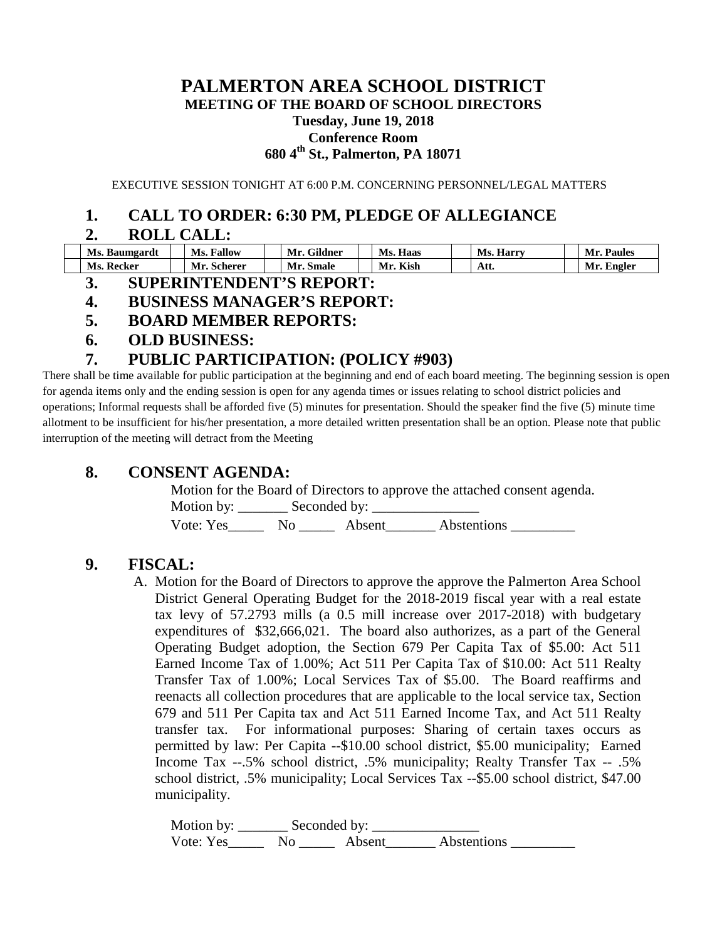#### **PALMERTON AREA SCHOOL DISTRICT MEETING OF THE BOARD OF SCHOOL DIRECTORS Tuesday, June 19, 2018 Conference Room 680 4th St., Palmerton, PA 18071**

EXECUTIVE SESSION TONIGHT AT 6:00 P.M. CONCERNING PERSONNEL/LEGAL MATTERS

## **1. CALL TO ORDER: 6:30 PM, PLEDGE OF ALLEGIANCE**

## **2. ROLL CALL:**

| Ms. Baumgardt | Ms.<br><b>Fallow</b> | <b>Gildner</b><br>Mr. | <b>Haas</b><br>Ms. | Harry<br>Ms. | <b>Paules</b><br>Mr. |
|---------------|----------------------|-----------------------|--------------------|--------------|----------------------|
| Ms. Recker    | Mr.<br>Scherer       | Mr. Smale             | Kish<br>Mr.        | Att.         | Mr. Engler           |

### **3. SUPERINTENDENT'S REPORT:**

### **4. BUSINESS MANAGER'S REPORT:**

- **5. BOARD MEMBER REPORTS:**
- **6. OLD BUSINESS:**

## **7. PUBLIC PARTICIPATION: (POLICY #903)**

There shall be time available for public participation at the beginning and end of each board meeting. The beginning session is open for agenda items only and the ending session is open for any agenda times or issues relating to school district policies and operations; Informal requests shall be afforded five (5) minutes for presentation. Should the speaker find the five (5) minute time allotment to be insufficient for his/her presentation, a more detailed written presentation shall be an option. Please note that public interruption of the meeting will detract from the Meeting

## **8. CONSENT AGENDA:**

Motion for the Board of Directors to approve the attached consent agenda. Motion by: \_\_\_\_\_\_\_ Seconded by: \_\_\_\_\_\_\_\_\_\_\_\_\_\_\_ Vote: Yes\_\_\_\_\_\_\_\_\_ No \_\_\_\_\_\_\_\_\_ Absent\_\_\_\_\_\_\_\_\_ Abstentions

# **9. FISCAL:**

A. Motion for the Board of Directors to approve the approve the Palmerton Area School District General Operating Budget for the 2018-2019 fiscal year with a real estate tax levy of 57.2793 mills (a 0.5 mill increase over 2017-2018) with budgetary expenditures of \$32,666,021. The board also authorizes, as a part of the General Operating Budget adoption, the Section 679 Per Capita Tax of \$5.00: Act 511 Earned Income Tax of 1.00%; Act 511 Per Capita Tax of \$10.00: Act 511 Realty Transfer Tax of 1.00%; Local Services Tax of \$5.00. The Board reaffirms and reenacts all collection procedures that are applicable to the local service tax, Section 679 and 511 Per Capita tax and Act 511 Earned Income Tax, and Act 511 Realty transfer tax. For informational purposes: Sharing of certain taxes occurs as permitted by law: Per Capita --\$10.00 school district, \$5.00 municipality; Earned Income Tax --.5% school district, .5% municipality; Realty Transfer Tax -- .5% school district, .5% municipality; Local Services Tax --\$5.00 school district, \$47.00 municipality.

Motion by: \_\_\_\_\_\_\_ Seconded by: \_\_\_\_\_\_\_\_\_\_\_\_\_\_\_ Vote: Yes\_\_\_\_\_\_\_ No \_\_\_\_\_\_ Absent\_\_\_\_\_\_\_ Abstentions \_\_\_\_\_\_\_\_\_\_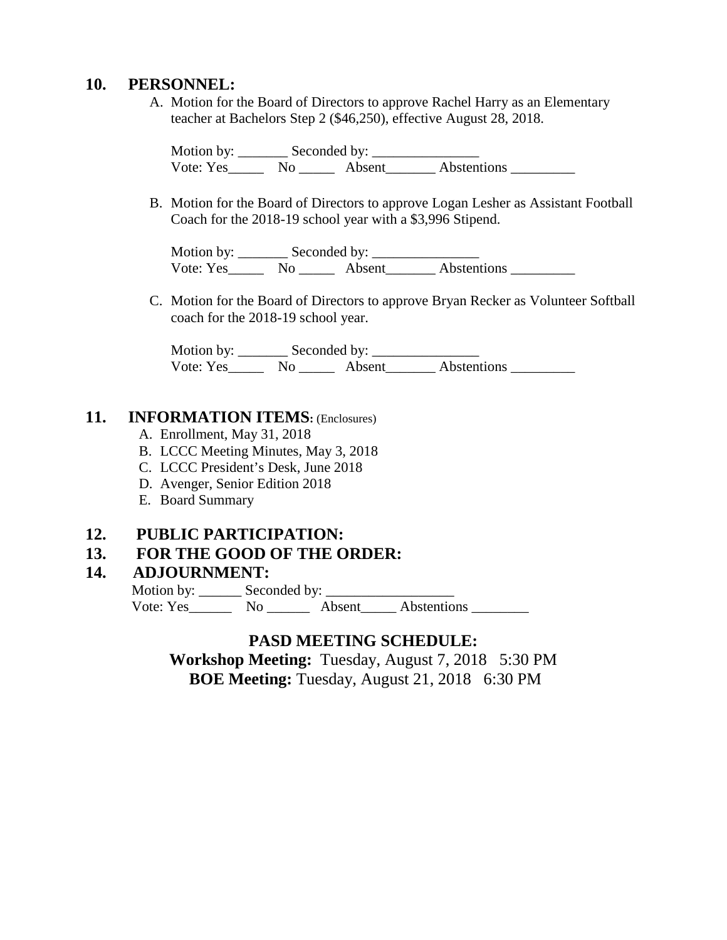#### **10. PERSONNEL:**

A. Motion for the Board of Directors to approve Rachel Harry as an Elementary teacher at Bachelors Step 2 (\$46,250), effective August 28, 2018.

Motion by: \_\_\_\_\_\_\_ Seconded by: \_\_\_\_\_\_\_\_\_\_\_\_\_\_\_ Vote: Yes\_\_\_\_\_\_\_ No \_\_\_\_\_\_ Absent\_\_\_\_\_\_\_ Abstentions \_\_\_\_\_\_\_\_\_\_

B. Motion for the Board of Directors to approve Logan Lesher as Assistant Football Coach for the 2018-19 school year with a \$3,996 Stipend.

Motion by: \_\_\_\_\_\_\_ Seconded by: \_\_\_\_\_\_\_\_\_\_\_\_\_\_\_ Vote: Yes\_\_\_\_\_\_\_ No \_\_\_\_\_\_ Absent\_\_\_\_\_\_\_ Abstentions \_\_\_\_\_\_\_\_\_\_

C. Motion for the Board of Directors to approve Bryan Recker as Volunteer Softball coach for the 2018-19 school year.

Motion by: \_\_\_\_\_\_\_ Seconded by: \_\_\_\_\_\_\_\_\_\_\_\_\_\_\_ Vote: Yes\_\_\_\_\_\_\_ No \_\_\_\_\_\_\_ Absent\_\_\_\_\_\_\_\_ Abstentions \_\_\_\_\_\_\_\_\_

#### **11. INFORMATION ITEMS:** (Enclosures)

- A. Enrollment, May 31, 2018
- B. LCCC Meeting Minutes, May 3, 2018
- C. LCCC President's Desk, June 2018
- D. Avenger, Senior Edition 2018
- E. Board Summary

#### **12. PUBLIC PARTICIPATION:**

### **13. FOR THE GOOD OF THE ORDER:**

#### **14. ADJOURNMENT:**

Motion by: Seconded by:

Vote: Yes\_\_\_\_\_\_\_\_ No \_\_\_\_\_\_\_ Absent\_\_\_\_\_ Abstentions \_\_\_\_\_\_\_\_

### **PASD MEETING SCHEDULE:**

**Workshop Meeting:** Tuesday, August 7, 2018 5:30 PM **BOE Meeting:** Tuesday, August 21, 20186:30 PM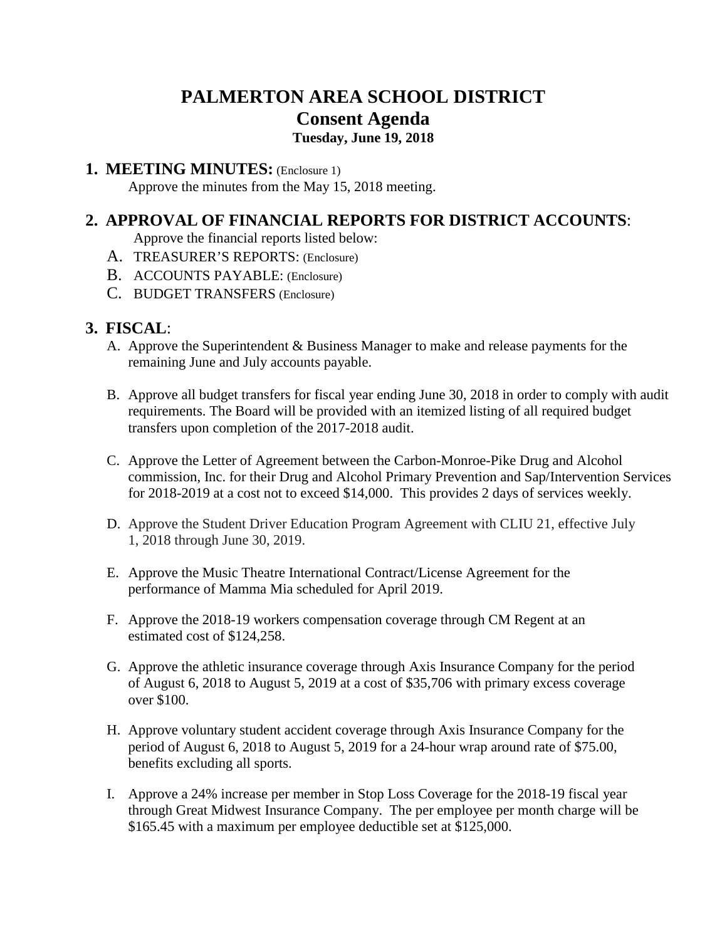# **PALMERTON AREA SCHOOL DISTRICT Consent Agenda**

# **Tuesday, June 19, 2018**

#### **1. MEETING MINUTES:** (Enclosure 1)

Approve the minutes from the May 15, 2018 meeting.

# **2. APPROVAL OF FINANCIAL REPORTS FOR DISTRICT ACCOUNTS**:

Approve the financial reports listed below:

- A. TREASURER'S REPORTS: (Enclosure)
- B. ACCOUNTS PAYABLE: (Enclosure)
- C. BUDGET TRANSFERS (Enclosure)

# **3. FISCAL**:

- A. Approve the Superintendent & Business Manager to make and release payments for the remaining June and July accounts payable.
- B. Approve all budget transfers for fiscal year ending June 30, 2018 in order to comply with audit requirements. The Board will be provided with an itemized listing of all required budget transfers upon completion of the 2017-2018 audit.
- C. Approve the Letter of Agreement between the Carbon-Monroe-Pike Drug and Alcohol commission, Inc. for their Drug and Alcohol Primary Prevention and Sap/Intervention Services for 2018-2019 at a cost not to exceed \$14,000. This provides 2 days of services weekly.
- D. Approve the Student Driver Education Program Agreement with CLIU 21, effective July 1, 2018 through June 30, 2019.
- E. Approve the Music Theatre International Contract/License Agreement for the performance of Mamma Mia scheduled for April 2019.
- F. Approve the 2018-19 workers compensation coverage through CM Regent at an estimated cost of \$124,258.
- G. Approve the athletic insurance coverage through Axis Insurance Company for the period of August 6, 2018 to August 5, 2019 at a cost of \$35,706 with primary excess coverage over \$100.
- H. Approve voluntary student accident coverage through Axis Insurance Company for the period of August 6, 2018 to August 5, 2019 for a 24-hour wrap around rate of \$75.00, benefits excluding all sports.
- I. Approve a 24% increase per member in Stop Loss Coverage for the 2018-19 fiscal year through Great Midwest Insurance Company. The per employee per month charge will be \$165.45 with a maximum per employee deductible set at \$125,000.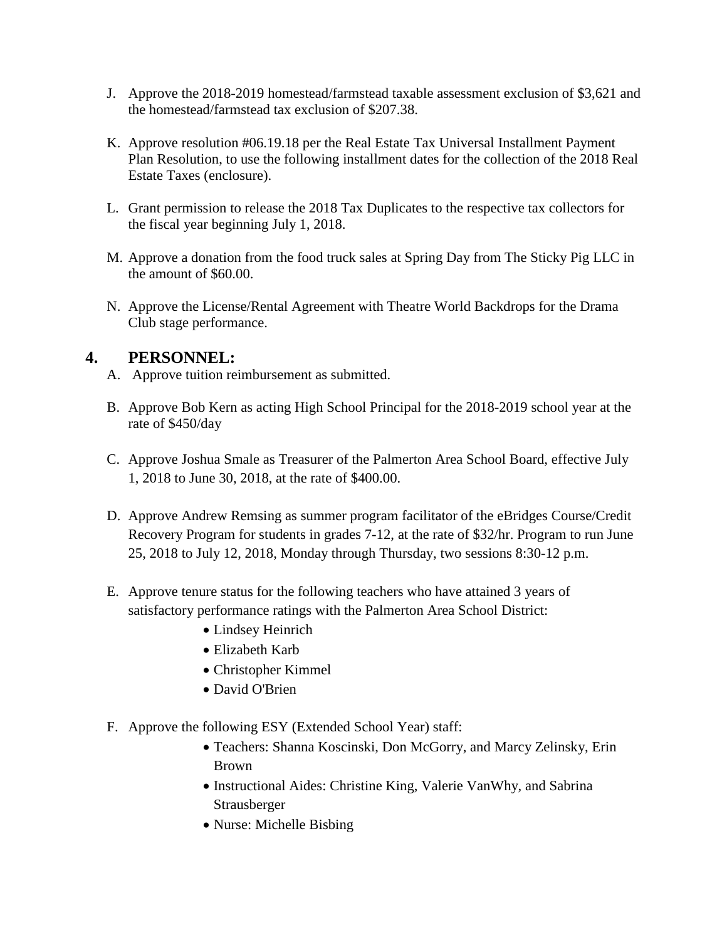- J. Approve the 2018-2019 homestead/farmstead taxable assessment exclusion of \$3,621 and the homestead/farmstead tax exclusion of \$207.38.
- K. Approve resolution #06.19.18 per the Real Estate Tax Universal Installment Payment Plan Resolution, to use the following installment dates for the collection of the 2018 Real Estate Taxes (enclosure).
- L. Grant permission to release the 2018 Tax Duplicates to the respective tax collectors for the fiscal year beginning July 1, 2018.
- M. Approve a donation from the food truck sales at Spring Day from The Sticky Pig LLC in the amount of \$60.00.
- N. Approve the License/Rental Agreement with Theatre World Backdrops for the Drama Club stage performance.

## **4. PERSONNEL:**

- A. Approve tuition reimbursement as submitted.
- B. Approve Bob Kern as acting High School Principal for the 2018-2019 school year at the rate of \$450/day
- C. Approve Joshua Smale as Treasurer of the Palmerton Area School Board, effective July 1, 2018 to June 30, 2018, at the rate of \$400.00.
- D. Approve Andrew Remsing as summer program facilitator of the eBridges Course/Credit Recovery Program for students in grades 7-12, at the rate of \$32/hr. Program to run June 25, 2018 to July 12, 2018, Monday through Thursday, two sessions 8:30-12 p.m.
- E. Approve tenure status for the following teachers who have attained 3 years of satisfactory performance ratings with the Palmerton Area School District:
	- Lindsey Heinrich
	- Elizabeth Karb
	- Christopher Kimmel
	- David O'Brien
- F. Approve the following ESY (Extended School Year) staff:
	- Teachers: Shanna Koscinski, Don McGorry, and Marcy Zelinsky, Erin Brown
	- Instructional Aides: Christine King, Valerie VanWhy, and Sabrina Strausberger
	- Nurse: Michelle Bisbing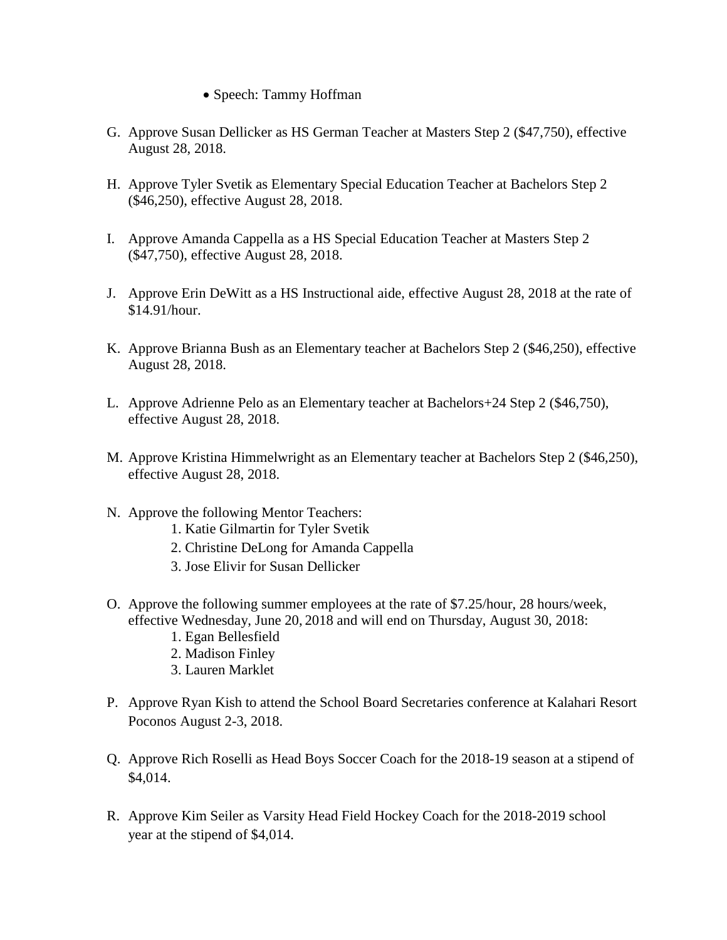- Speech: Tammy Hoffman
- G. Approve Susan Dellicker as HS German Teacher at Masters Step 2 (\$47,750), effective August 28, 2018.
- H. Approve Tyler Svetik as Elementary Special Education Teacher at Bachelors Step 2 (\$46,250), effective August 28, 2018.
- I. Approve Amanda Cappella as a HS Special Education Teacher at Masters Step 2 (\$47,750), effective August 28, 2018.
- J. Approve Erin DeWitt as a HS Instructional aide, effective August 28, 2018 at the rate of \$14.91/hour.
- K. Approve Brianna Bush as an Elementary teacher at Bachelors Step 2 (\$46,250), effective August 28, 2018.
- L. Approve Adrienne Pelo as an Elementary teacher at Bachelors+24 Step 2 (\$46,750), effective August 28, 2018.
- M. Approve Kristina Himmelwright as an Elementary teacher at Bachelors Step 2 (\$46,250), effective August 28, 2018.
- N. Approve the following Mentor Teachers:
	- 1. Katie Gilmartin for Tyler Svetik
	- 2. Christine DeLong for Amanda Cappella
	- 3. Jose Elivir for Susan Dellicker
- O. Approve the following summer employees at the rate of \$7.25/hour, 28 hours/week, effective Wednesday, June 20, 2018 and will end on Thursday, August 30, 2018:
	- 1. Egan Bellesfield
	- 2. Madison Finley
	- 3. Lauren Marklet
- P. Approve Ryan Kish to attend the School Board Secretaries conference at Kalahari Resort Poconos August 2-3, 2018.
- Q. Approve Rich Roselli as Head Boys Soccer Coach for the 2018-19 season at a stipend of \$4,014.
- R. Approve Kim Seiler as Varsity Head Field Hockey Coach for the 2018-2019 school year at the stipend of \$4,014.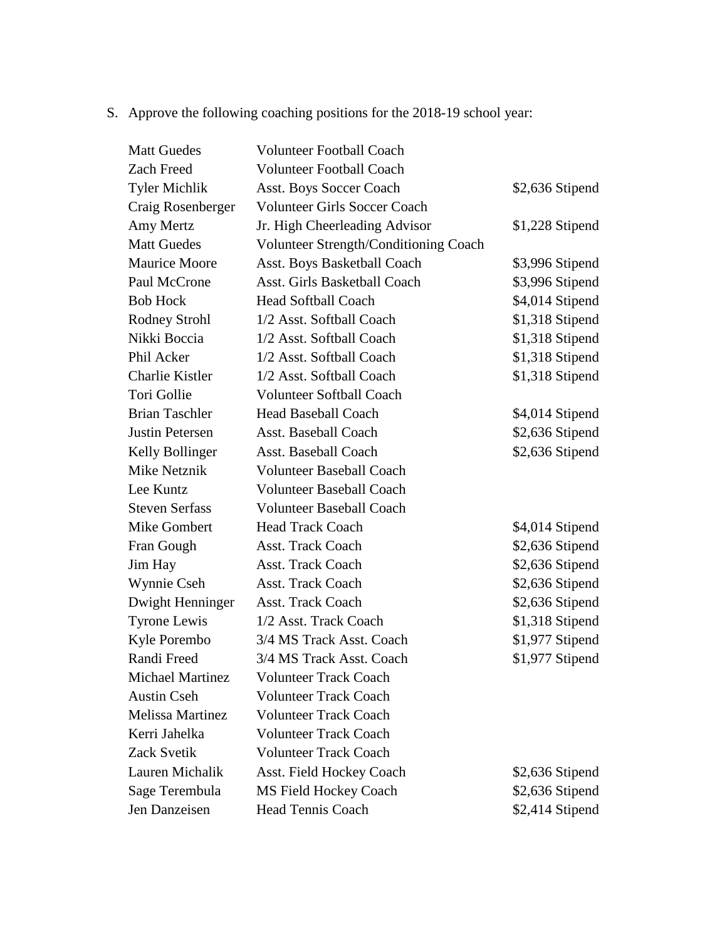S. Approve the following coaching positions for the 2018-19 school year:

| <b>Matt Guedes</b>      | <b>Volunteer Football Coach</b>       |                 |
|-------------------------|---------------------------------------|-----------------|
| Zach Freed              | <b>Volunteer Football Coach</b>       |                 |
| <b>Tyler Michlik</b>    | <b>Asst. Boys Soccer Coach</b>        | \$2,636 Stipend |
| Craig Rosenberger       | <b>Volunteer Girls Soccer Coach</b>   |                 |
| Amy Mertz               | Jr. High Cheerleading Advisor         | \$1,228 Stipend |
| <b>Matt Guedes</b>      | Volunteer Strength/Conditioning Coach |                 |
| <b>Maurice Moore</b>    | Asst. Boys Basketball Coach           | \$3,996 Stipend |
| Paul McCrone            | Asst. Girls Basketball Coach          | \$3,996 Stipend |
| <b>Bob Hock</b>         | <b>Head Softball Coach</b>            | \$4,014 Stipend |
| <b>Rodney Strohl</b>    | 1/2 Asst. Softball Coach              | \$1,318 Stipend |
| Nikki Boccia            | 1/2 Asst. Softball Coach              | \$1,318 Stipend |
| Phil Acker              | 1/2 Asst. Softball Coach              | \$1,318 Stipend |
| Charlie Kistler         | 1/2 Asst. Softball Coach              | \$1,318 Stipend |
| Tori Gollie             | <b>Volunteer Softball Coach</b>       |                 |
| <b>Brian Taschler</b>   | <b>Head Baseball Coach</b>            | \$4,014 Stipend |
| Justin Petersen         | Asst. Baseball Coach                  | \$2,636 Stipend |
| Kelly Bollinger         | Asst. Baseball Coach                  | \$2,636 Stipend |
| Mike Netznik            | <b>Volunteer Baseball Coach</b>       |                 |
| Lee Kuntz               | <b>Volunteer Baseball Coach</b>       |                 |
| <b>Steven Serfass</b>   | <b>Volunteer Baseball Coach</b>       |                 |
| Mike Gombert            | <b>Head Track Coach</b>               | \$4,014 Stipend |
| Fran Gough              | <b>Asst. Track Coach</b>              | \$2,636 Stipend |
| Jim Hay                 | <b>Asst. Track Coach</b>              | \$2,636 Stipend |
| Wynnie Cseh             | <b>Asst. Track Coach</b>              | \$2,636 Stipend |
| Dwight Henninger        | Asst. Track Coach                     | \$2,636 Stipend |
| <b>Tyrone Lewis</b>     | 1/2 Asst. Track Coach                 | \$1,318 Stipend |
| Kyle Porembo            | 3/4 MS Track Asst. Coach              | \$1,977 Stipend |
| Randi Freed             | 3/4 MS Track Asst. Coach              | \$1,977 Stipend |
| Michael Martinez        | Volunteer Track Coach                 |                 |
| <b>Austin Cseh</b>      | <b>Volunteer Track Coach</b>          |                 |
| <b>Melissa Martinez</b> | <b>Volunteer Track Coach</b>          |                 |
| Kerri Jahelka           | <b>Volunteer Track Coach</b>          |                 |
| Zack Svetik             | <b>Volunteer Track Coach</b>          |                 |
| Lauren Michalik         | <b>Asst. Field Hockey Coach</b>       | \$2,636 Stipend |
| Sage Terembula          | <b>MS Field Hockey Coach</b>          | \$2,636 Stipend |
| Jen Danzeisen           | <b>Head Tennis Coach</b>              | \$2,414 Stipend |